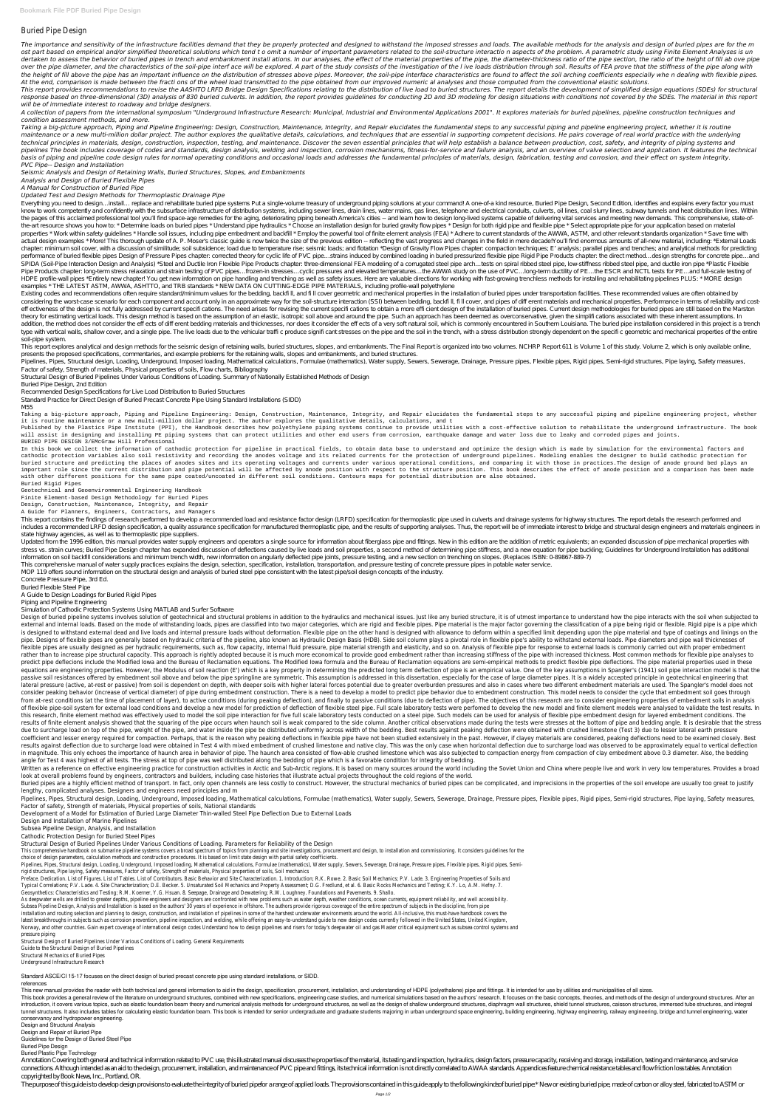# Buried Pipe Design

The importance and sensitivity of the infrastructure facilities demand that they be properly protected and designed to withstand the imposed stresses and loads. The available methods for the analysis and design of buried p ost part based on empirical and/or simplified theoretical solutions which tend to omit a number of important parameters related to the soil-structure interactio n aspects of the problem. A parametric study using Finite Ele dertaken to assess the behavior of buried pipes in trench and embankment install ations. In our analyses, the effect of the material properties of the pipe, the diameter-thickness ratio of the pipe section, the ratio of th over the pipe diameter, and the characteristics of the soil-pipe interf ace will be explored. A part of the study consists of the investigation of the I ive loads distribution through soil. Results of FEA prove that the st the height of fill above the pipe has an important influence on the distribution of stresses above pipes. Moreover, the soil-pipe interface characteristics are found to affect the soil arching coefficients especially whe n *At the end, comparison is made between the fracti ons of the wheel load transmitted to the pipe obtained from our improved numeric al analyses and those computed from the conventional elastic solutions.*

This report provides recommendations to revise the AASHTO LRFD Bridge Design Specifications relating to the distribution of live load to buried structures. The report details the development of simplified design equations response based on three-dimensional (3D) analysis of 830 buried culverts. In addition, the report provides quidelines for conducting 2D and 3D modeling for design situations with conditions not covered by the SDEs. The mat *will be of immediate interest to roadway and bridge designers.*

A collection of papers from the international symposium "Underground Infrastructure Research: Municipal, Industrial and Environmental Applications 2001". It explores materials for buried pipelines, pipeline construction te *condition assessment methods, and more.*

Taking a big-picture approach, Piping and Pipeline Engineering: Design, Construction, Maintenance, Integrity, and Repair elucidates the fundamental steps to any successful piping and pipeline engineering project, whether i maintenance or a new multi-million dollar project. The author explores the qualitative details, calculations, and techniques that are essential in supporting competent decisions. He pairs coverage of real world practice wi technical principles in materials, design, construction, inspection, testing, and maintenance. Discover the seven essential principles that will help establish a balance between production, cost, safety, and integrity of p pipelines The book includes coverage of codes and standards, design analysis, welding and inspection, corrosion mechanisms, fitness-for-service and failure analysis, and an overview of valve selection and application. It f basis of piping and pipeline code design rules for normal operating conditions and occasional loads and addresses the fundamental principles of materials, design, fabrication, testing and corrosion, and their effect on sys *PVC Pipe-- Design and Installation*

Everything you need to design... install... replace and rehabilitate buried pipe systems Put a single-volume treasury of underground piping solutions at your command! A one-of-a kind resource, Buried Pipe Design, Second Ed know to work competently and confidently with the subsurface infrastructure of distribution systems, including sewer lines, drain lines, water mains, gas lines, telephone and electrical conduits, culverts, oil lines, coal the pages of this acclaimed professional tool you'll find space-age remedies for the aging, deteriorating piping beneath America's cities -- and learn how to design long-lived systems capable of delivering vital services a the-art resource shows you how to: \*Determine loads on buried pipes \*Understand pipe hydraulics \*Choose an installation design for buried gravity flow pipes \*Design for both rigid pipe and flexible pipe \*Select appropriate properties \* Work within safety quidelines \* Handle soil issues, including pipe embedment and backfill \* Employ the powerful tool of finite element analysis (FEA) \* Adhere to current standards of the AWWA, ASTM, and other actual design examples \* More! This thorough update of A. P. Moser's classic guide is now twice the size of the previous edition -- reflecting the vast progress and changes in the field in mere decade!You'll find enormous chapter: minimum soil cover, with a discussion of similitude; soil subsidence; load due to temperature rise; seismic loads; and flotation \*Design of Gravity Flow Pipes chapter: compaction techniques; E' analysis; parallel performance of buried flexible pipes Design of Pressure Pipes chapter: corrected theory for cyclic life of PVC pipe... strains induced by combined loading in buried pressurized flexible pipe Rigid Pipe Products chapter: th SPIDA (Soil-Pipe Interaction Design and Analysis) \*S teel and Ductile Iron Flexible Pipe Products chapter: three-dimensional FEA modeling of a corrugated steel pipe arch... tests on spiral ribbed steel pipe, low-stiffness Pipe Products chapter: long-term stress relaxation and strain testing of PVC pipes... frozen-in stresses... cyclic pressures and elevated temperatures... the AWWA study on the use of PVC... long-term ductility of PE... the HDPE profile-wall pipes \*Entirely new chapter! You get new information on pipe handling and trenching as well as safety issues. Here are valuable directions for working with fast-growing trenchless methods for installing a examples \* THE LATEST ASTM, AWWA, ASHTTO, and TRB standards \* NEW DATA ON CUTTING-EDGE PIPE MATERIALS, including profile-wall polyethylene

*Seismic Analysis and Design of Retaining Walls, Buried Structures, Slopes, and Embankments*

## *Analysis and Design of Buried Flexible Pipes*

### *A Manual for Construction of Buried Pipe*

## *Updated Test and Design Methods for Thermoplastic Drainage Pipe*

Existing codes and recommendations often require standard/minimum values for the bedding, backfill, and fill cover geometric and mechanical properties in the installation of buried pipes under transportation facilities. Th considering the worst-case scenario for each component and account only in an approximate way for the soil-structure interaction (SSI) between bedding, backfill, fill cover, and pipes of different materials and mechanical effectiveness of the design is not fully addressed by current specifi cations. The need arises for revising the current specifi cations to obtain a more efficient design of the installation of buried pipes. Current design theory for estimating vertical loads. This design method is based on the assumption of an elastic, isotropic soil above and around the pipe. Such an approach has been deemed as overconservative, given the simplifi cations addition, the method does not consider the effects of different bedding materials and thicknesses, nor does it consider the effects of a very soft natural soil, which is commonly encountered in Southern Louisiana. The buri type with vertical walls, shallow cover, and a single pipe. The live loads due to the vehicular traffic produce significant stresses on the pipe and the soil in the trench, with a stress distribution strongly dependent on soil-pipe system.

This report explores analytical and design methods for the seismic design of retaining walls, buried structures, slopes, and embankments. The Final Report is organized into two volumes. NCHRP Report 611 is Volume 1 of this presents the proposed specifications, commentaries, and example problems for the retaining walls, slopes and embankments, and buried structures.

Pipelines, Pipes, Structural design, Loading, Underground, Imposed loading, Mathematical calculations, Formulae (mathematics), Water supply, Sewerage, Drainage, Pressure pipes, Flexible pipes, Rigid pipes, Semi-rigid struc Factor of safety, Strength of materials, Physical properties of soils, Flow charts, Bibliography

Structural Design of Buried Pipelines Under Various Conditions of Loading. Summary of Nationally Established Methods of Design

Design of buried pipeline systems involves solution of geotechnical and structural problems in addition to the hydraulics and mechanical issues. Just like any buried structure, it is of utmost importance to understand how external and internal loads. Based on the mode of withstanding loads, pipes are classified into two major categories, which are rigid and flexible pipes. Pipe material is the major factor governing the classification of a is designed to withstand external dead and live loads and internal pressure loads without deformation. Flexible pipe on the other hand is designed with allowance to deform within a specified limit depending upon the pipe m pipe. Designs of flexible pipes are generally based on hydraulic criteria of the pipeline, also known as Hydraulic Design Basis (HDB). Side soil column plays a pivotal role in flexible pipe's ability to withstand external flexible pipes are usually designed as per hydraulic requirements, such as, flow capacity, internal fluid pressure, pipe material strength and elasticity, and so on. Analysis of flexible pipe for response to external loads rather than to increase pipe structural capacity. This approach is rightly adopted because it is much more economical to provide good embedment rather than increasing stiffness of the pipe with increased thickness. Most co predict pipe deflecions include the Modified Iowa and the Bureau of Reclamation equations. The Modified Iowa formula and the Bureau of Reclamation equations are semi-empirical methods to predict flexible pipe deflections. equations are engineering properties. However, the Modulus of soil reaction (E') which is a key property in determining the predicted long term deflection of pipe is an empirical value. One of the key assumptions in Spangl passive soil resistances offered by embedment soil above and below the pipe springline are symmetric. This assumption is addressed in this dissertation, especially for the case of large diameter pipes. It is a widely accep lateral pressure (active, at-rest or passive) from soil is dependent on depth, with deeper soils with higher lateral forces potential due to greater overburden pressures and also in cases where two different embedment mate consider peaking behavior (increase of vertical diameter) of pipe during embedment construction. There is a need to develop a model to predict pipe behavior due to embedment construction. This model needs to consider the c from at-rest conditions (at the time of placement of layer), to active conditions (during peaking deflection), and finally to passive conditions (due to deflection of pipe). The objectives of this research are to consider of flexible pipe-soil system for external load conditions and develop a new model for prediction of deflection of flexible steel pipe. Full scale laboratory tests were perfomed to develop the new model and finite element m this research, finite element method was effectively used to model the soil pipe interaction for five full scale laboratory tests conducted on a steel pipe. Such models can be used for analysis of flexible pipe embedment d results of finite element analysis showed that the squaring of the pipe occurs when haunch soil is weak compared to the side column. Another critical observations made during the tests were stresses at the bottom of pipe a due to surcharge load on top of the pipe, weight of the pipe, and water inside the pipe be distributed uniformly across width of the bedding. Best results against peaking deflection were obtained with crushed limestone (Te coefficient and lesser energy required for compaction. Perhaps, that is the reason why peaking deflections in flexible pipe have not been studied extensively in the past. However, if clayey materials are considered, peakin results against deflection due to surcharge load were obtained in Test 4 with mixed embedment of crushed limestone and native clay. This was the only case when horizontal deflection due to surcharge load was observed to be in magnitude. This only echoes the importance of haunch area in behavior of pipe. The haunch area consisted of flow-able crushed limestone which was also subjected to compaction energy from compaction of clay embedment abo angle for Test 4 was highest of all tests. The stress at top of pipe was well distributed along the bedding of pipe which is a favorable condition for integrity of bedding.

Buried Pipe Design, 2nd Edition

Recommended Design Specifications for Live Load Distribution to Buried Structures

Standard Practice for Direct Design of Buried Precast Concrete Pipe Using Standard Installations (SIDD)

M55

Written as a reference on effective engineering practice for construction activities in Arctic and Sub-Arctic regions. It is based on many sources around the world including the Soviet Union and China where people live and look at overall problems found by engineers, contractors and builders, including case histories that illustrate actual projects throughout the cold regions of the world.

Taking a big-picture approach, Piping and Pipeline Engineering: Design, Construction, Maintenance, Integrity, and Repair elucidates the fundamental steps to any successful piping and pipeline engineering project, whether

Buried pipes are a highly efficient method of transport. In fact, only open channels are less costly to construct. However, the structural mechanics of buried pipes can be complicated, and imprecisions in the properties of lengthy, complicated analyses. Designers and engineers need principles and m

it is routine maintenance or a new multi-million dollar project. The author explores the qualitative details, calculations, and t

Pipelines, Pipes, Structural design, Loading, Underground, Imposed loading, Mathematical calculations, Formulae (mathematics), Water supply, Sewerage, Drainage, Pressure pipes, Flexible pipes, Rigid pipes, Semi-rigid struc Factor of safety, Strength of materials, Physical properties of soils, National standards

Published by the Plastics Pipe Institute (PPI), the Handbook describes how polyethylene piping systems continue to provide utilities with a cost-effective solution to rehabilitate the underground infrastructure. The book will assist in designing and installing PE piping systems that can protect utilities and other end users from corrosion, earthquake damage and water loss due to leaky and corroded pipes and joints. BURIED PIPE DESIGN 3/EMcGraw Hill Professional

Preface. Dedication. List of Figures. List of Tables. List of Contributors. Basic Behavior and Site Characterization. 1. Introduction; R.K. Rowe. 2. Basic Soil Mechanics; P.V. Lade. 3. Engineering Properties of Soils and Typical Correlations; P.V. Lade. 4. Site Characterization; D.E. Becker. 5. Unsaturated Soil Mechanics and Property Assessment; D.G. Fredlund, et al. 6. Basic Rocks Mechanics and Testing; K.Y. Lo, A.M. Hefny. 7. Geosynthetics: Characteristics and Testing; R.M. Koerner, Y.G. Hsuan. 8. Seepage, Drainage and Dewatering; R.W. Loughney. Foundations and Pavements. 9. Shallo.

In this book we collect the information of cathodic protection for pipeline in practical fields, to obtain data base to understand and optimize the design which is made by simulation for the environmental factors and cathodic protection variables also soil resistivity and recording the anodes voltage and its related currents for the protection of underground pipelines. Modeling enables the designer to build cathodic protection for buried structure and predicting the places of anodes sites and its operating voltages and currents under various operational conditions, and comparing it with those in practices.The design of anode ground bed plays an important role since the current distribution and pipe potential will be affected by anode position with respect to the structure position. This book describes the effect of anode position and a comparison has been made with other different positions for the same pipe coated/uncoated in different soil conditions. Contours maps for potential distribution are also obtained.

Buried Rigid Pipes

Geotechnical and Geoenvironmental Engineering Handbook

Finite Element-based Design Methodology for Buried Pipes

Design, Construction, Maintenance, Integrity, and Repair

#### A Guide for Planners, Engineers, Contractors, and Managers

This report contains the findings of research performed to develop a recommended load and resistance factor design (LRFD) specification for thermoplastic pipe used in culverts and drainage systems for highway structures. T includes a recommended LRFD design specification, a quality assurance specification for manufactured thermoplastic pipe, and the results of supporting analyses. Thus, the report will be of immediate interest to bridge and state highway agencies, as well as to thermoplastic pipe suppliers.

Updated from the 1996 edition, this manual provides water supply engineers and operators a single source for information about fiberglass pipe and fittings. New in this edition are the addition of metric equivalents; an ex stress vs. strain curves; Buried Pipe Design chapter has expanded discussion of deflections caused by live loads and soil properties, a second method of determining pipe stiffness, and a new equation for pipe buckling; Gui information on soil backfill considerations and minimum trench width, new information on angularly deflected pipe joints, pressure testing, and a new section on trenching on slopes. (Replaces ISBN: 0-89867-889-7)

This new manual provides the reader with both technical and general information to aid in the design, specification, procurement, installation, and understanding of HDPE (polyethalene) pipe and fittings. It is intended for This book provides a general review of the literature on underground structures, combined with new specifications, engineering case studies, and numerical simulations based on the authors' research. It focuses on the basic introduction, it covers various topics, such as elastic foundation beam theory and numerical analysis methods for underground structures, as well as the design of shallow underground structures, diaphragm wall structures, tunnel structures. It also includes tables for calculating elastic foundation beam. This book is intended for senior undergraduate and graduate students majoring in urban underground space engineering, building engineering conservancy and hydropower engineering.

Annotation Covering both general and technical information related to PVC use, this illustrated manual discusses the properties of the material, its testing and inspection, hydraulics, design factors, pressure capacity, re connections. Although intended as an aid to the design, procurement, installation, and maintenance of PVC pipe and fittings, its technical information is not directly correlated to AWAA standards. Appendices feature chemic copyrighted by Book News, Inc., Portland, OR.

The purpose of this guide is to develop design provisions to evaluate the integrity of buried pipefor a range of applied loads. The provisions contained in this guide apply to the following kindsof buried pipe.\* New or exi

This comprehensive manual of water supply practices explains the design, selection, specification, installation, transportation, and pressure testing of concrete pressure pipes in potable water service.

MOP 119 offers sound information on the structural design and analysis of buried steel pipe consistent with the latest pipe/soil design concepts of the industry.

Concrete Pressure Pipe, 3rd Ed.

Buried Flexible Steel Pipe

A Guide to Design Loadings for Buried Rigid Pipes

Piping and Pipeline Engineering

Simulation of Cathodic Protection Systems Using MATLAB and Surfer Software

Development of a Model for Estimation of Buried Large Diameter Thin-walled Steel Pipe Deflection Due to External Loads

Design and Installation of Marine Pipelines

Subsea Pipeline Design, Analysis, and Installation

Cathodic Protection Design for Buried Steel Pipes

#### Structural Design of Buried Pipelines Under Various Conditions of Loading. Parameters for Reliability of the Design

This comprehensive handbook on submarine pipeline systems covers a broad spectrum of topics from planning and site investigations, procurement and design, to installation and commissioning. It considers guidelines for the choice of design parameters, calculation methods and construction procedures. It is based on limit state design with partial safety coefficients.

Pipelines, Pipes, Structural design, Loading, Underground, Imposed loading, Mathematical calculations, Formulae (mathematics), Water supply, Sewers, Sewerage, Drainage, Pressure pipes, Flexible pipes, Rigid pipes, Semirigid structures, Pipe laying, Safety measures, Factor of safety, Strength of materials, Physical properties of soils, Soil mechanics

As deepwater wells are drilled to greater depths, pipeline engineers and designers are confronted with new problems such as water depth, weather conditions, ocean currents, equipment reliability, and well accessibility. Subsea Pipeline Design, Analysis and Installation is based on the authors' 30 years of experience in offshore. The authors provide rigorous coverage of the entire spectrum of subjects in the discipline, from pipe installation and routing selection and planning to design, construction, and installation of pipelines in some of the harshest underwater environments around the world. All-inclusive, this must-have handbook covers the latest breakthroughs in subjects such as corrosion prevention, pipeline inspection, and welding, while offering an easy-to-understand guide to new design codes currently followed in the United States, United Kingdom, Norway, and other countries. Gain expert coverage of international design codes Understand how to design pipelines and risers for today's deepwater oil and gas Master critical equipment such as subsea control systems and pressure piping

Structural Design of Buried Pipelines Under Various Conditions of Loading. General Requirements

Guide to the Structural Design of Buried Pipelines

Structural Mechanics of Buried Pipes

Underground Infrastructure Research

Standard ASCE/CI 15-17 focuses on the direct design of buried precast concrete pipe using standard installations, or SIDD.

references

Design and Structural Analysis

Design and Repair of Buried Pipe

Guidelines for the Design of Buried Steel Pipe

Buried Pipe Design

Buried Plastic Pipe Technology